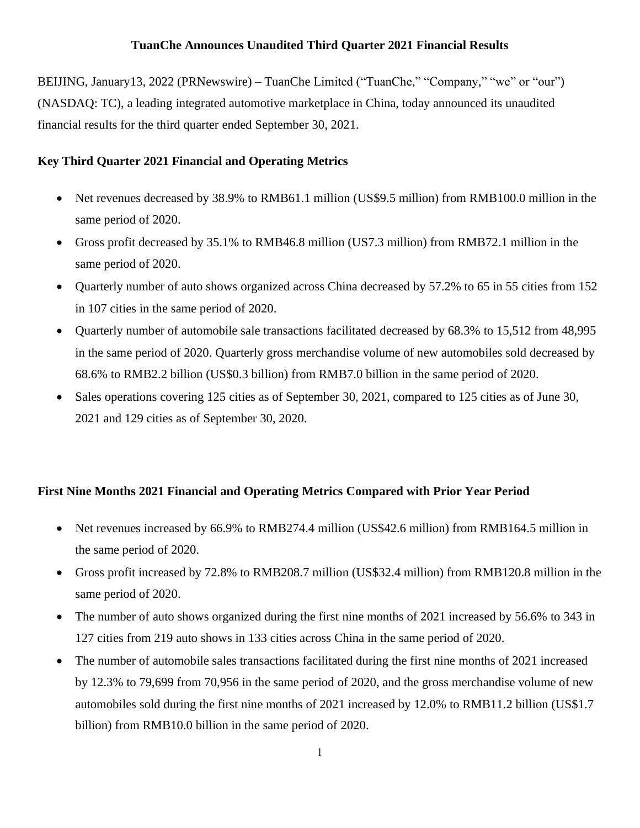## **TuanChe Announces Unaudited Third Quarter 2021 Financial Results**

BEIJING, January13, 2022 (PRNewswire) – TuanChe Limited ("TuanChe," "Company," "we" or "our") (NASDAQ: TC), a leading integrated automotive marketplace in China, today announced its unaudited financial results for the third quarter ended September 30, 2021.

# **Key Third Quarter 2021 Financial and Operating Metrics**

- Net revenues decreased by 38.9% to RMB61.1 million (US\$9.5 million) from RMB100.0 million in the same period of 2020.
- Gross profit decreased by 35.1% to RMB46.8 million (US7.3 million) from RMB72.1 million in the same period of 2020.
- Quarterly number of auto shows organized across China decreased by 57.2% to 65 in 55 cities from 152 in 107 cities in the same period of 2020.
- Quarterly number of automobile sale transactions facilitated decreased by 68.3% to 15,512 from 48,995 in the same period of 2020. Quarterly gross merchandise volume of new automobiles sold decreased by 68.6% to RMB2.2 billion (US\$0.3 billion) from RMB7.0 billion in the same period of 2020.
- Sales operations covering 125 cities as of September 30, 2021, compared to 125 cities as of June 30, 2021 and 129 cities as of September 30, 2020.

# **First Nine Months 2021 Financial and Operating Metrics Compared with Prior Year Period**

- Net revenues increased by 66.9% to RMB274.4 million (US\$42.6 million) from RMB164.5 million in the same period of 2020.
- Gross profit increased by 72.8% to RMB208.7 million (US\$32.4 million) from RMB120.8 million in the same period of 2020.
- The number of auto shows organized during the first nine months of 2021 increased by 56.6% to 343 in 127 cities from 219 auto shows in 133 cities across China in the same period of 2020.
- The number of automobile sales transactions facilitated during the first nine months of 2021 increased by 12.3% to 79,699 from 70,956 in the same period of 2020, and the gross merchandise volume of new automobiles sold during the first nine months of 2021 increased by 12.0% to RMB11.2 billion (US\$1.7 billion) from RMB10.0 billion in the same period of 2020.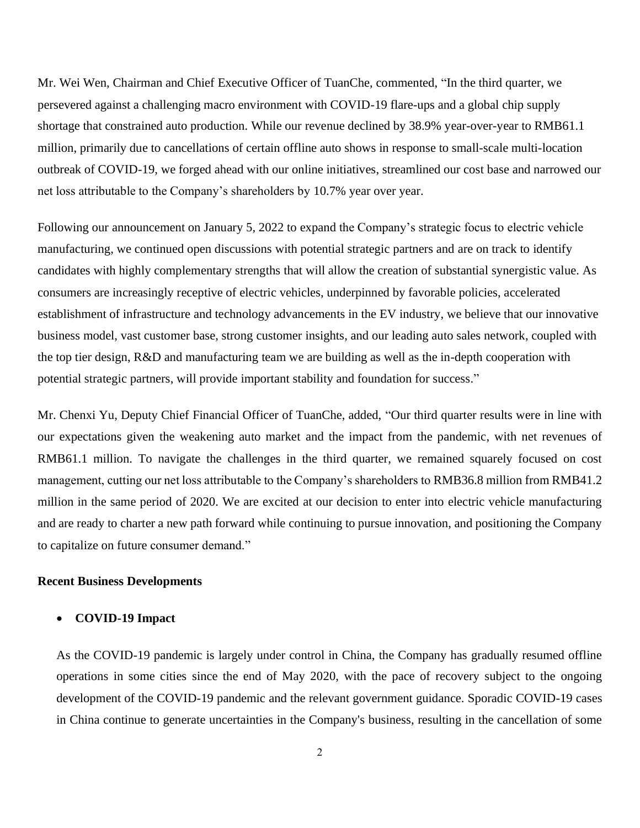Mr. Wei Wen, Chairman and Chief Executive Officer of TuanChe, commented, "In the third quarter, we persevered against a challenging macro environment with COVID-19 flare-ups and a global chip supply shortage that constrained auto production. While our revenue declined by 38.9% year-over-year to RMB61.1 million, primarily due to cancellations of certain offline auto shows in response to small-scale multi-location outbreak of COVID-19, we forged ahead with our online initiatives, streamlined our cost base and narrowed our net loss attributable to the Company's shareholders by 10.7% year over year.

Following our announcement on January 5, 2022 to expand the Company's strategic focus to electric vehicle manufacturing, we continued open discussions with potential strategic partners and are on track to identify candidates with highly complementary strengths that will allow the creation of substantial synergistic value. As consumers are increasingly receptive of electric vehicles, underpinned by favorable policies, accelerated establishment of infrastructure and technology advancements in the EV industry, we believe that our innovative business model, vast customer base, strong customer insights, and our leading auto sales network, coupled with the top tier design, R&D and manufacturing team we are building as well as the in-depth cooperation with potential strategic partners, will provide important stability and foundation for success."

Mr. Chenxi Yu, Deputy Chief Financial Officer of TuanChe, added, "Our third quarter results were in line with our expectations given the weakening auto market and the impact from the pandemic, with net revenues of RMB61.1 million. To navigate the challenges in the third quarter, we remained squarely focused on cost management, cutting our net loss attributable to the Company's shareholders to RMB36.8 million from RMB41.2 million in the same period of 2020. We are excited at our decision to enter into electric vehicle manufacturing and are ready to charter a new path forward while continuing to pursue innovation, and positioning the Company to capitalize on future consumer demand."

#### **Recent Business Developments**

#### • **COVID-19 Impact**

As the COVID-19 pandemic is largely under control in China, the Company has gradually resumed offline operations in some cities since the end of May 2020, with the pace of recovery subject to the ongoing development of the COVID-19 pandemic and the relevant government guidance. Sporadic COVID-19 cases in China continue to generate uncertainties in the Company's business, resulting in the cancellation of some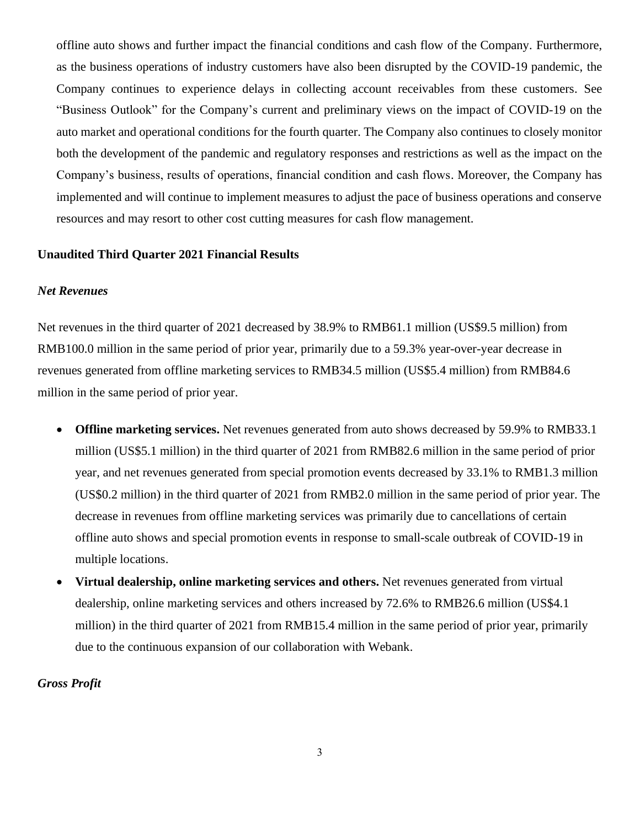offline auto shows and further impact the financial conditions and cash flow of the Company. Furthermore, as the business operations of industry customers have also been disrupted by the COVID-19 pandemic, the Company continues to experience delays in collecting account receivables from these customers. See "Business Outlook" for the Company's current and preliminary views on the impact of COVID-19 on the auto market and operational conditions for the fourth quarter. The Company also continues to closely monitor both the development of the pandemic and regulatory responses and restrictions as well as the impact on the Company's business, results of operations, financial condition and cash flows. Moreover, the Company has implemented and will continue to implement measures to adjust the pace of business operations and conserve resources and may resort to other cost cutting measures for cash flow management.

## **Unaudited Third Quarter 2021 Financial Results**

### *Net Revenues*

Net revenues in the third quarter of 2021 decreased by 38.9% to RMB61.1 million (US\$9.5 million) from RMB100.0 million in the same period of prior year, primarily due to a 59.3% year-over-year decrease in revenues generated from offline marketing services to RMB34.5 million (US\$5.4 million) from RMB84.6 million in the same period of prior year.

- **Offline marketing services.** Net revenues generated from auto shows decreased by 59.9% to RMB33.1 million (US\$5.1 million) in the third quarter of 2021 from RMB82.6 million in the same period of prior year, and net revenues generated from special promotion events decreased by 33.1% to RMB1.3 million (US\$0.2 million) in the third quarter of 2021 from RMB2.0 million in the same period of prior year. The decrease in revenues from offline marketing services was primarily due to cancellations of certain offline auto shows and special promotion events in response to small-scale outbreak of COVID-19 in multiple locations.
- **Virtual dealership, online marketing services and others.** Net revenues generated from virtual dealership, online marketing services and others increased by 72.6% to RMB26.6 million (US\$4.1 million) in the third quarter of 2021 from RMB15.4 million in the same period of prior year, primarily due to the continuous expansion of our collaboration with Webank.

*Gross Profit*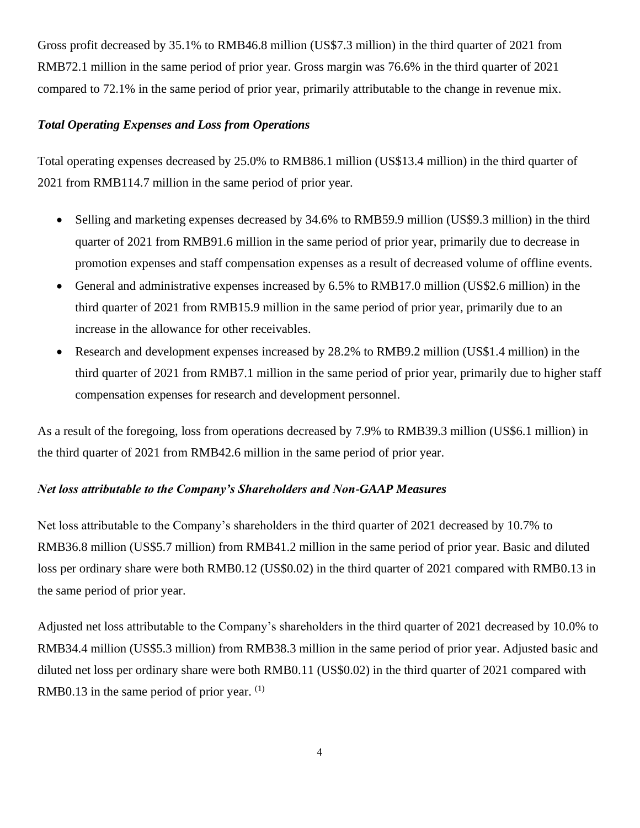Gross profit decreased by 35.1% to RMB46.8 million (US\$7.3 million) in the third quarter of 2021 from RMB72.1 million in the same period of prior year. Gross margin was 76.6% in the third quarter of 2021 compared to 72.1% in the same period of prior year, primarily attributable to the change in revenue mix.

### *Total Operating Expenses and Loss from Operations*

Total operating expenses decreased by 25.0% to RMB86.1 million (US\$13.4 million) in the third quarter of 2021 from RMB114.7 million in the same period of prior year.

- Selling and marketing expenses decreased by 34.6% to RMB59.9 million (US\$9.3 million) in the third quarter of 2021 from RMB91.6 million in the same period of prior year, primarily due to decrease in promotion expenses and staff compensation expenses as a result of decreased volume of offline events.
- General and administrative expenses increased by 6.5% to RMB17.0 million (US\$2.6 million) in the third quarter of 2021 from RMB15.9 million in the same period of prior year, primarily due to an increase in the allowance for other receivables.
- Research and development expenses increased by 28.2% to RMB9.2 million (US\$1.4 million) in the third quarter of 2021 from RMB7.1 million in the same period of prior year, primarily due to higher staff compensation expenses for research and development personnel.

As a result of the foregoing, loss from operations decreased by 7.9% to RMB39.3 million (US\$6.1 million) in the third quarter of 2021 from RMB42.6 million in the same period of prior year.

# *Net loss attributable to the Company's Shareholders and Non-GAAP Measures*

Net loss attributable to the Company's shareholders in the third quarter of 2021 decreased by 10.7% to RMB36.8 million (US\$5.7 million) from RMB41.2 million in the same period of prior year. Basic and diluted loss per ordinary share were both RMB0.12 (US\$0.02) in the third quarter of 2021 compared with RMB0.13 in the same period of prior year.

Adjusted net loss attributable to the Company's shareholders in the third quarter of 2021 decreased by 10.0% to RMB34.4 million (US\$5.3 million) from RMB38.3 million in the same period of prior year. Adjusted basic and diluted net loss per ordinary share were both RMB0.11 (US\$0.02) in the third quarter of 2021 compared with RMB0.13 in the same period of prior year.  $(1)$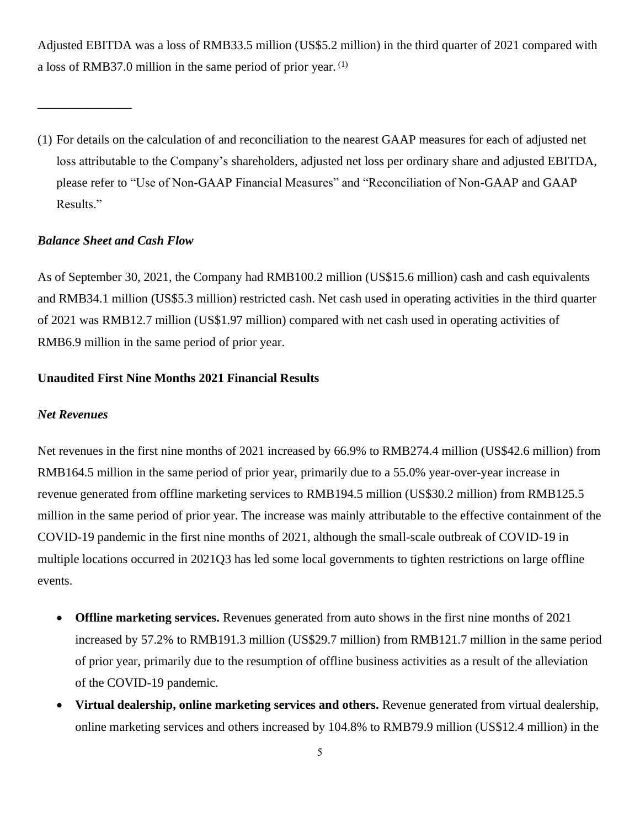Adjusted EBITDA was a loss of RMB33.5 million (US\$5.2 million) in the third quarter of 2021 compared with a loss of RMB37.0 million in the same period of prior year. (1)

#### *Balance Sheet and Cash Flow*

\_\_\_\_\_\_\_\_\_\_\_\_\_\_\_

As of September 30, 2021, the Company had RMB100.2 million (US\$15.6 million) cash and cash equivalents and RMB34.1 million (US\$5.3 million) restricted cash. Net cash used in operating activities in the third quarter of 2021 was RMB12.7 million (US\$1.97 million) compared with net cash used in operating activities of RMB6.9 million in the same period of prior year.

#### **Unaudited First Nine Months 2021 Financial Results**

#### *Net Revenues*

Net revenues in the first nine months of 2021 increased by 66.9% to RMB274.4 million (US\$42.6 million) from RMB164.5 million in the same period of prior year, primarily due to a 55.0% year-over-year increase in revenue generated from offline marketing services to RMB194.5 million (US\$30.2 million) from RMB125.5 million in the same period of prior year. The increase was mainly attributable to the effective containment of the COVID-19 pandemic in the first nine months of 2021, although the small-scale outbreak of COVID-19 in multiple locations occurred in 2021Q3 has led some local governments to tighten restrictions on large offline events.

- **Offline marketing services.** Revenues generated from auto shows in the first nine months of 2021 increased by 57.2% to RMB191.3 million (US\$29.7 million) from RMB121.7 million in the same period of prior year, primarily due to the resumption of offline business activities as a result of the alleviation of the COVID-19 pandemic.
- **Virtual dealership, online marketing services and others.** Revenue generated from virtual dealership, online marketing services and others increased by 104.8% to RMB79.9 million (US\$12.4 million) in the

<span id="page-4-0"></span><sup>(1)</sup> For details on the calculation of and reconciliation to the nearest GAAP measures for each of adjusted net loss attributable to the Company's shareholders, adjusted net loss per ordinary share and adjusted EBITDA, please refer to "Use of Non-GAAP Financial Measures" and "Reconciliation of Non-GAAP and GAAP Results."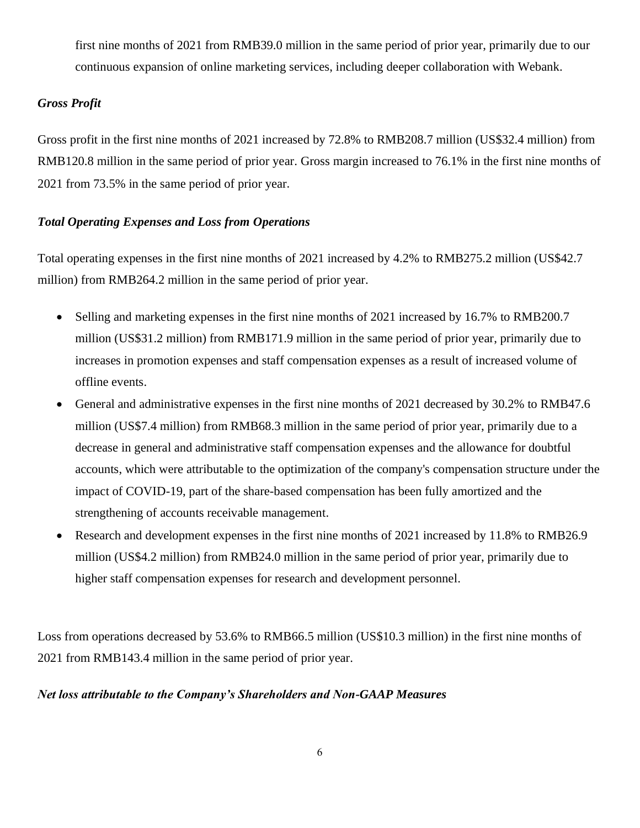first nine months of 2021 from RMB39.0 million in the same period of prior year, primarily due to our continuous expansion of online marketing services, including deeper collaboration with Webank.

# *Gross Profit*

Gross profit in the first nine months of 2021 increased by 72.8% to RMB208.7 million (US\$32.4 million) from RMB120.8 million in the same period of prior year. Gross margin increased to 76.1% in the first nine months of 2021 from 73.5% in the same period of prior year.

## *Total Operating Expenses and Loss from Operations*

Total operating expenses in the first nine months of 2021 increased by 4.2% to RMB275.2 million (US\$42.7 million) from RMB264.2 million in the same period of prior year.

- Selling and marketing expenses in the first nine months of 2021 increased by 16.7% to RMB200.7 million (US\$31.2 million) from RMB171.9 million in the same period of prior year, primarily due to increases in promotion expenses and staff compensation expenses as a result of increased volume of offline events.
- General and administrative expenses in the first nine months of 2021 decreased by 30.2% to RMB47.6 million (US\$7.4 million) from RMB68.3 million in the same period of prior year, primarily due to a decrease in general and administrative staff compensation expenses and the allowance for doubtful accounts, which were attributable to the optimization of the company's compensation structure under the impact of COVID-19, part of the share-based compensation has been fully amortized and the strengthening of accounts receivable management.
- Research and development expenses in the first nine months of 2021 increased by 11.8% to RMB26.9 million (US\$4.2 million) from RMB24.0 million in the same period of prior year, primarily due to higher staff compensation expenses for research and development personnel.

Loss from operations decreased by 53.6% to RMB66.5 million (US\$10.3 million) in the first nine months of 2021 from RMB143.4 million in the same period of prior year.

#### *Net loss attributable to the Company's Shareholders and Non-GAAP Measures*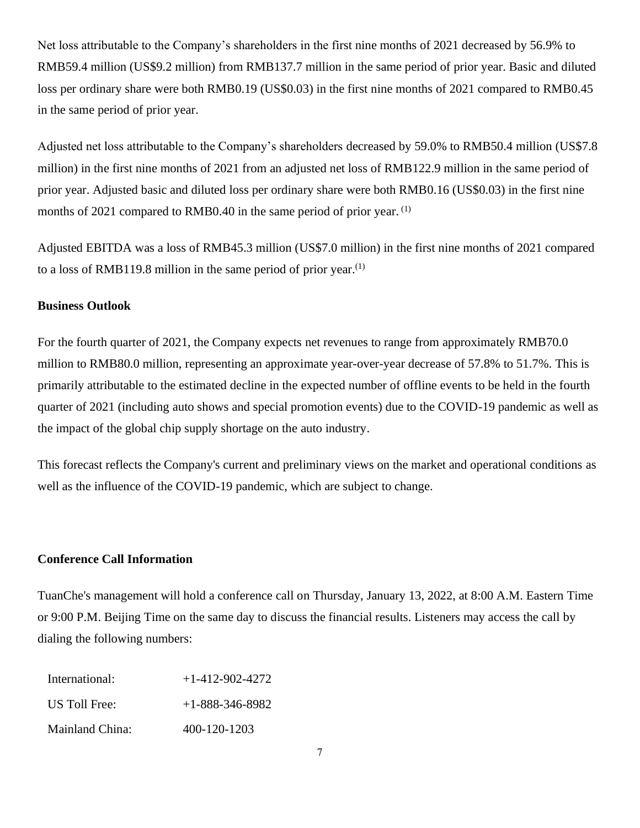Net loss attributable to the Company's shareholders in the first nine months of 2021 decreased by 56.9% to RMB59.4 million (US\$9.2 million) from RMB137.7 million in the same period of prior year. Basic and diluted loss per ordinary share were both RMB0.19 (US\$0.03) in the first nine months of 2021 compared to RMB0.45 in the same period of prior year.

Adjusted net loss attributable to the Company's shareholders decreased by 59.0% to RMB50.4 million (US\$7.8 million) in the first nine months of 2021 from an adjusted net loss of RMB122.9 million in the same period of prior year. Adjusted basic and diluted loss per ordinary share were both RMB0.16 (US\$0.03) in the first nine months of 2021 compared to RMB0.40 in the same period of prior year. [\(1\)](#page-4-0)

Adjusted EBITDA was a loss of RMB45.3 million (US\$7.0 million) in the first nine months of 2021 compared to a loss of RMB119[.](#page-4-0)8 million in the same period of prior year.<sup>[\(1\)](#page-4-0)</sup>

## **Business Outlook**

For the fourth quarter of 2021, the Company expects net revenues to range from approximately RMB70.0 million to RMB80.0 million, representing an approximate year-over-year decrease of 57.8% to 51.7%. This is primarily attributable to the estimated decline in the expected number of offline events to be held in the fourth quarter of 2021 (including auto shows and special promotion events) due to the COVID-19 pandemic as well as the impact of the global chip supply shortage on the auto industry.

This forecast reflects the Company's current and preliminary views on the market and operational conditions as well as the influence of the COVID-19 pandemic, which are subject to change.

## **Conference Call Information**

TuanChe's management will hold a conference call on Thursday, January 13, 2022, at 8:00 A.M. Eastern Time or 9:00 P.M. Beijing Time on the same day to discuss the financial results. Listeners may access the call by dialing the following numbers:

| International:  | $+1-412-902-4272$ |
|-----------------|-------------------|
| US Toll Free:   | $+1-888-346-8982$ |
| Mainland China: | 400-120-1203      |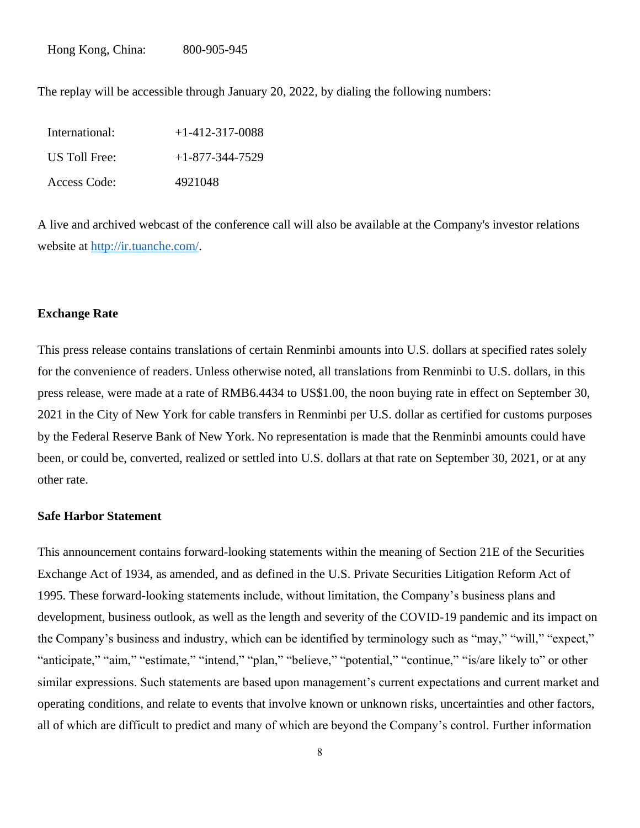The replay will be accessible through January 20, 2022, by dialing the following numbers:

| International: | $+1-412-317-0088$ |
|----------------|-------------------|
| US Toll Free:  | $+1-877-344-7529$ |
| Access Code:   | 4921048           |

A live and archived webcast of the conference call will also be available at the Company's investor relations website at [http://ir.tuanche.com/.](http://ir.tuanche.com/)

#### **Exchange Rate**

This press release contains translations of certain Renminbi amounts into U.S. dollars at specified rates solely for the convenience of readers. Unless otherwise noted, all translations from Renminbi to U.S. dollars, in this press release, were made at a rate of RMB6.4434 to US\$1.00, the noon buying rate in effect on September 30, 2021 in the City of New York for cable transfers in Renminbi per U.S. dollar as certified for customs purposes by the Federal Reserve Bank of New York. No representation is made that the Renminbi amounts could have been, or could be, converted, realized or settled into U.S. dollars at that rate on September 30, 2021, or at any other rate.

### **Safe Harbor Statement**

This announcement contains forward-looking statements within the meaning of Section 21E of the Securities Exchange Act of 1934, as amended, and as defined in the U.S. Private Securities Litigation Reform Act of 1995. These forward-looking statements include, without limitation, the Company's business plans and development, business outlook, as well as the length and severity of the COVID-19 pandemic and its impact on the Company's business and industry, which can be identified by terminology such as "may," "will," "expect," "anticipate," "aim," "estimate," "intend," "plan," "believe," "potential," "continue," "is/are likely to" or other similar expressions. Such statements are based upon management's current expectations and current market and operating conditions, and relate to events that involve known or unknown risks, uncertainties and other factors, all of which are difficult to predict and many of which are beyond the Company's control. Further information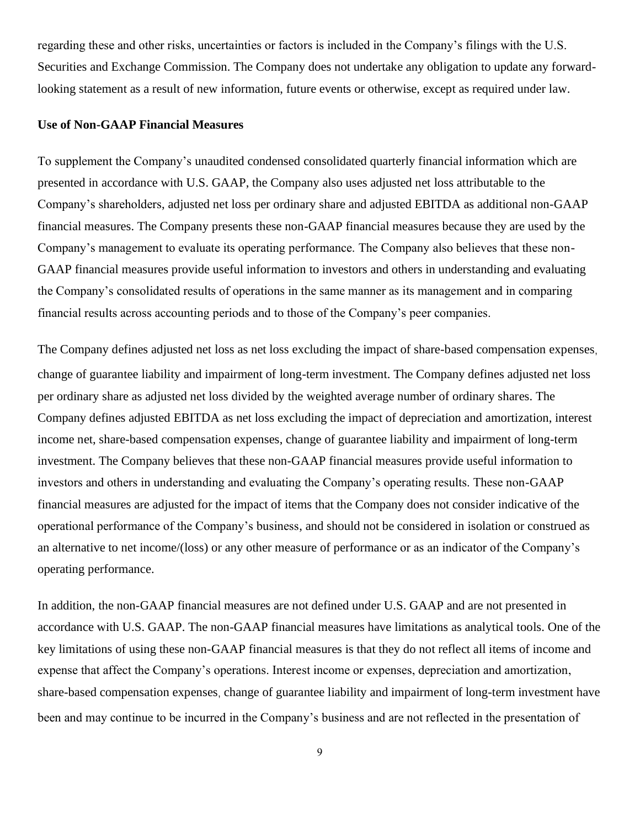regarding these and other risks, uncertainties or factors is included in the Company's filings with the U.S. Securities and Exchange Commission. The Company does not undertake any obligation to update any forwardlooking statement as a result of new information, future events or otherwise, except as required under law.

#### **Use of Non-GAAP Financial Measures**

To supplement the Company's unaudited condensed consolidated quarterly financial information which are presented in accordance with U.S. GAAP, the Company also uses adjusted net loss attributable to the Company's shareholders, adjusted net loss per ordinary share and adjusted EBITDA as additional non-GAAP financial measures. The Company presents these non-GAAP financial measures because they are used by the Company's management to evaluate its operating performance. The Company also believes that these non-GAAP financial measures provide useful information to investors and others in understanding and evaluating the Company's consolidated results of operations in the same manner as its management and in comparing financial results across accounting periods and to those of the Company's peer companies.

The Company defines adjusted net loss as net loss excluding the impact of share-based compensation expenses, change of guarantee liability and impairment of long-term investment. The Company defines adjusted net loss per ordinary share as adjusted net loss divided by the weighted average number of ordinary shares. The Company defines adjusted EBITDA as net loss excluding the impact of depreciation and amortization, interest income net, share-based compensation expenses, change of guarantee liability and impairment of long-term investment. The Company believes that these non-GAAP financial measures provide useful information to investors and others in understanding and evaluating the Company's operating results. These non-GAAP financial measures are adjusted for the impact of items that the Company does not consider indicative of the operational performance of the Company's business, and should not be considered in isolation or construed as an alternative to net income/(loss) or any other measure of performance or as an indicator of the Company's operating performance.

In addition, the non-GAAP financial measures are not defined under U.S. GAAP and are not presented in accordance with U.S. GAAP. The non-GAAP financial measures have limitations as analytical tools. One of the key limitations of using these non-GAAP financial measures is that they do not reflect all items of income and expense that affect the Company's operations. Interest income or expenses, depreciation and amortization, share-based compensation expenses, change of guarantee liability and impairment of long-term investment have been and may continue to be incurred in the Company's business and are not reflected in the presentation of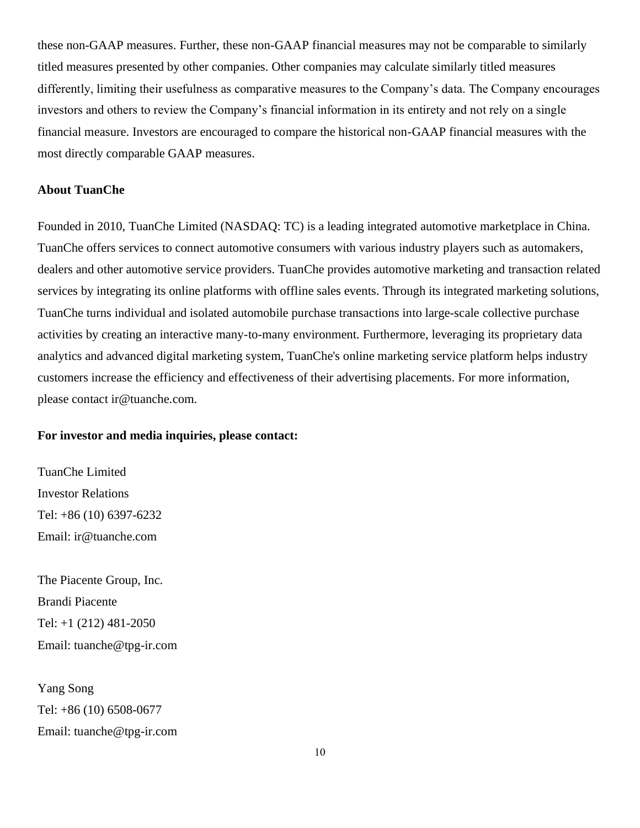these non-GAAP measures. Further, these non-GAAP financial measures may not be comparable to similarly titled measures presented by other companies. Other companies may calculate similarly titled measures differently, limiting their usefulness as comparative measures to the Company's data. The Company encourages investors and others to review the Company's financial information in its entirety and not rely on a single financial measure. Investors are encouraged to compare the historical non-GAAP financial measures with the most directly comparable GAAP measures.

# **About TuanChe**

Founded in 2010, TuanChe Limited (NASDAQ: TC) is a leading integrated automotive marketplace in China. TuanChe offers services to connect automotive consumers with various industry players such as automakers, dealers and other automotive service providers. TuanChe provides automotive marketing and transaction related services by integrating its online platforms with offline sales events. Through its integrated marketing solutions, TuanChe turns individual and isolated automobile purchase transactions into large-scale collective purchase activities by creating an interactive many-to-many environment. Furthermore, leveraging its proprietary data analytics and advanced digital marketing system, TuanChe's online marketing service platform helps industry customers increase the efficiency and effectiveness of their advertising placements. For more information, please contact ir@tuanche.com.

#### **For investor and media inquiries, please contact:**

TuanChe Limited Investor Relations Tel: +86 (10) 6397-6232 Email: [ir@tuanche.com](mailto:ir@tuanche.com)

The Piacente Group, Inc. Brandi Piacente Tel: +1 (212) 481-2050 Email: tuanche@tpg-ir.com

Yang Song Tel: +86 (10) 6508-0677 Email: [tuanche@tpg-ir.com](mailto:tuanche@tpg-ir.com)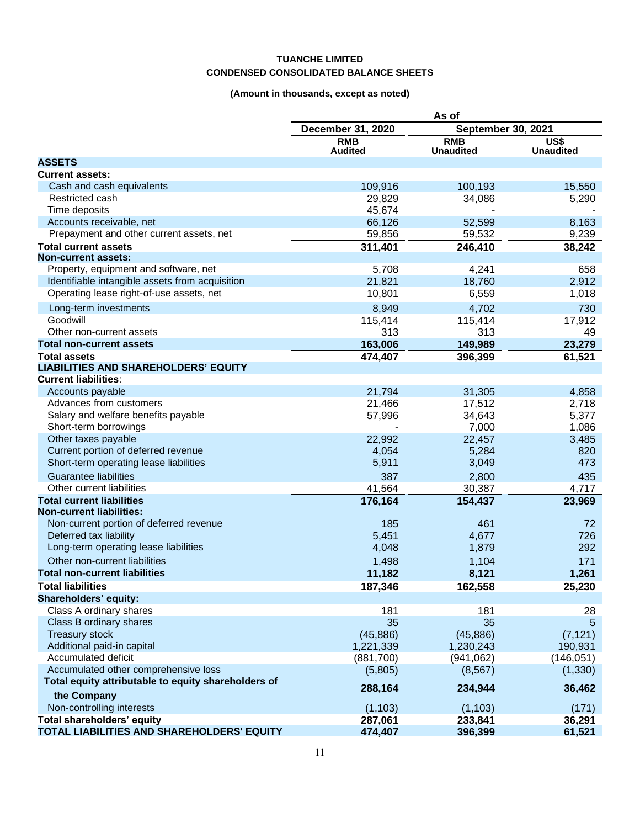## **TUANCHE LIMITED CONDENSED CONSOLIDATED BALANCE SHEETS**

# **(Amount in thousands, except as noted)**

| September 30, 2021<br>December 31, 2020<br><b>RMB</b><br><b>RMB</b><br>US\$<br><b>Audited</b><br><b>Unaudited</b><br><b>Unaudited</b><br><b>ASSETS</b><br><b>Current assets:</b><br>Cash and cash equivalents<br>109,916<br>100,193<br>15,550<br>Restricted cash<br>29,829<br>34,086<br>5,290<br>Time deposits<br>45,674<br>66,126<br>Accounts receivable, net<br>52,599<br>8,163<br>Prepayment and other current assets, net<br>59,856<br>59,532<br>9,239<br><b>Total current assets</b><br>38,242<br>311,401<br>246,410<br><b>Non-current assets:</b><br>Property, equipment and software, net<br>5,708<br>4,241<br>658<br>Identifiable intangible assets from acquisition<br>21,821<br>18,760<br>2,912<br>Operating lease right-of-use assets, net<br>10,801<br>6,559<br>1,018<br>Long-term investments<br>8,949<br>4,702<br>730<br>17,912<br>Goodwill<br>115,414<br>115,414<br>Other non-current assets<br>313<br>313<br>49<br>23,279<br>163,006<br><b>Total non-current assets</b><br>149,989<br>61,521<br><b>Total assets</b><br>474,407<br>396,399<br><b>LIABILITIES AND SHAREHOLDERS' EQUITY</b><br><b>Current liabilities:</b><br>Accounts payable<br>21,794<br>31,305<br>4,858<br>21,466<br>Advances from customers<br>17,512<br>2,718<br>Salary and welfare benefits payable<br>5,377<br>57,996<br>34,643<br>Short-term borrowings<br>7,000<br>1,086<br>Other taxes payable<br>22,992<br>22,457<br>3,485<br>Current portion of deferred revenue<br>4,054<br>5,284<br>820<br>Short-term operating lease liabilities<br>5,911<br>473<br>3,049<br><b>Guarantee liabilities</b><br>387<br>2,800<br>435<br>Other current liabilities<br>41,564<br>30,387<br>4,717<br>176,164<br><b>Total current liabilities</b><br>154,437<br>23,969<br><b>Non-current liabilities:</b><br>Non-current portion of deferred revenue<br>185<br>461<br>72<br>Deferred tax liability<br>5,451<br>4,677<br>726<br>292<br>Long-term operating lease liabilities<br>4,048<br>1,879<br>Other non-current liabilities<br>1,498<br>1,104<br>171<br>11,182<br>8,121<br>1,261<br><b>Total non-current liabilities</b><br><b>Total liabilities</b><br>187,346<br>25,230<br>162,558<br>Shareholders' equity:<br>Class A ordinary shares<br>181<br>181<br>28<br>35<br>35<br>Class B ordinary shares<br>5<br><b>Treasury stock</b><br>(45, 886)<br>(45, 886)<br>(7, 121)<br>Additional paid-in capital<br>1,230,243<br>190,931<br>1,221,339<br>Accumulated deficit<br>(941, 062)<br>(146, 051)<br>(881,700)<br>Accumulated other comprehensive loss<br>(1, 330)<br>(5,805)<br>(8, 567)<br>Total equity attributable to equity shareholders of<br>288,164<br>234,944<br>36,462<br>the Company<br>Non-controlling interests<br>(1, 103)<br>(1, 103)<br>(171)<br>Total shareholders' equity<br>287,061<br>233,841<br>36,291<br>TOTAL LIABILITIES AND SHAREHOLDERS' EQUITY<br>474,407<br>396,399<br>61,521 | As of |  |  |
|-------------------------------------------------------------------------------------------------------------------------------------------------------------------------------------------------------------------------------------------------------------------------------------------------------------------------------------------------------------------------------------------------------------------------------------------------------------------------------------------------------------------------------------------------------------------------------------------------------------------------------------------------------------------------------------------------------------------------------------------------------------------------------------------------------------------------------------------------------------------------------------------------------------------------------------------------------------------------------------------------------------------------------------------------------------------------------------------------------------------------------------------------------------------------------------------------------------------------------------------------------------------------------------------------------------------------------------------------------------------------------------------------------------------------------------------------------------------------------------------------------------------------------------------------------------------------------------------------------------------------------------------------------------------------------------------------------------------------------------------------------------------------------------------------------------------------------------------------------------------------------------------------------------------------------------------------------------------------------------------------------------------------------------------------------------------------------------------------------------------------------------------------------------------------------------------------------------------------------------------------------------------------------------------------------------------------------------------------------------------------------------------------------------------------------------------------------------------------------------------------------------------------------------------------------------------------------------------------------------------------------------------------------------------------------------------------------------------------------------------------------------------------------------------------------------------------------------------------------------------------------|-------|--|--|
|                                                                                                                                                                                                                                                                                                                                                                                                                                                                                                                                                                                                                                                                                                                                                                                                                                                                                                                                                                                                                                                                                                                                                                                                                                                                                                                                                                                                                                                                                                                                                                                                                                                                                                                                                                                                                                                                                                                                                                                                                                                                                                                                                                                                                                                                                                                                                                                                                                                                                                                                                                                                                                                                                                                                                                                                                                                                               |       |  |  |
|                                                                                                                                                                                                                                                                                                                                                                                                                                                                                                                                                                                                                                                                                                                                                                                                                                                                                                                                                                                                                                                                                                                                                                                                                                                                                                                                                                                                                                                                                                                                                                                                                                                                                                                                                                                                                                                                                                                                                                                                                                                                                                                                                                                                                                                                                                                                                                                                                                                                                                                                                                                                                                                                                                                                                                                                                                                                               |       |  |  |
|                                                                                                                                                                                                                                                                                                                                                                                                                                                                                                                                                                                                                                                                                                                                                                                                                                                                                                                                                                                                                                                                                                                                                                                                                                                                                                                                                                                                                                                                                                                                                                                                                                                                                                                                                                                                                                                                                                                                                                                                                                                                                                                                                                                                                                                                                                                                                                                                                                                                                                                                                                                                                                                                                                                                                                                                                                                                               |       |  |  |
|                                                                                                                                                                                                                                                                                                                                                                                                                                                                                                                                                                                                                                                                                                                                                                                                                                                                                                                                                                                                                                                                                                                                                                                                                                                                                                                                                                                                                                                                                                                                                                                                                                                                                                                                                                                                                                                                                                                                                                                                                                                                                                                                                                                                                                                                                                                                                                                                                                                                                                                                                                                                                                                                                                                                                                                                                                                                               |       |  |  |
|                                                                                                                                                                                                                                                                                                                                                                                                                                                                                                                                                                                                                                                                                                                                                                                                                                                                                                                                                                                                                                                                                                                                                                                                                                                                                                                                                                                                                                                                                                                                                                                                                                                                                                                                                                                                                                                                                                                                                                                                                                                                                                                                                                                                                                                                                                                                                                                                                                                                                                                                                                                                                                                                                                                                                                                                                                                                               |       |  |  |
|                                                                                                                                                                                                                                                                                                                                                                                                                                                                                                                                                                                                                                                                                                                                                                                                                                                                                                                                                                                                                                                                                                                                                                                                                                                                                                                                                                                                                                                                                                                                                                                                                                                                                                                                                                                                                                                                                                                                                                                                                                                                                                                                                                                                                                                                                                                                                                                                                                                                                                                                                                                                                                                                                                                                                                                                                                                                               |       |  |  |
|                                                                                                                                                                                                                                                                                                                                                                                                                                                                                                                                                                                                                                                                                                                                                                                                                                                                                                                                                                                                                                                                                                                                                                                                                                                                                                                                                                                                                                                                                                                                                                                                                                                                                                                                                                                                                                                                                                                                                                                                                                                                                                                                                                                                                                                                                                                                                                                                                                                                                                                                                                                                                                                                                                                                                                                                                                                                               |       |  |  |
|                                                                                                                                                                                                                                                                                                                                                                                                                                                                                                                                                                                                                                                                                                                                                                                                                                                                                                                                                                                                                                                                                                                                                                                                                                                                                                                                                                                                                                                                                                                                                                                                                                                                                                                                                                                                                                                                                                                                                                                                                                                                                                                                                                                                                                                                                                                                                                                                                                                                                                                                                                                                                                                                                                                                                                                                                                                                               |       |  |  |
|                                                                                                                                                                                                                                                                                                                                                                                                                                                                                                                                                                                                                                                                                                                                                                                                                                                                                                                                                                                                                                                                                                                                                                                                                                                                                                                                                                                                                                                                                                                                                                                                                                                                                                                                                                                                                                                                                                                                                                                                                                                                                                                                                                                                                                                                                                                                                                                                                                                                                                                                                                                                                                                                                                                                                                                                                                                                               |       |  |  |
|                                                                                                                                                                                                                                                                                                                                                                                                                                                                                                                                                                                                                                                                                                                                                                                                                                                                                                                                                                                                                                                                                                                                                                                                                                                                                                                                                                                                                                                                                                                                                                                                                                                                                                                                                                                                                                                                                                                                                                                                                                                                                                                                                                                                                                                                                                                                                                                                                                                                                                                                                                                                                                                                                                                                                                                                                                                                               |       |  |  |
|                                                                                                                                                                                                                                                                                                                                                                                                                                                                                                                                                                                                                                                                                                                                                                                                                                                                                                                                                                                                                                                                                                                                                                                                                                                                                                                                                                                                                                                                                                                                                                                                                                                                                                                                                                                                                                                                                                                                                                                                                                                                                                                                                                                                                                                                                                                                                                                                                                                                                                                                                                                                                                                                                                                                                                                                                                                                               |       |  |  |
|                                                                                                                                                                                                                                                                                                                                                                                                                                                                                                                                                                                                                                                                                                                                                                                                                                                                                                                                                                                                                                                                                                                                                                                                                                                                                                                                                                                                                                                                                                                                                                                                                                                                                                                                                                                                                                                                                                                                                                                                                                                                                                                                                                                                                                                                                                                                                                                                                                                                                                                                                                                                                                                                                                                                                                                                                                                                               |       |  |  |
|                                                                                                                                                                                                                                                                                                                                                                                                                                                                                                                                                                                                                                                                                                                                                                                                                                                                                                                                                                                                                                                                                                                                                                                                                                                                                                                                                                                                                                                                                                                                                                                                                                                                                                                                                                                                                                                                                                                                                                                                                                                                                                                                                                                                                                                                                                                                                                                                                                                                                                                                                                                                                                                                                                                                                                                                                                                                               |       |  |  |
|                                                                                                                                                                                                                                                                                                                                                                                                                                                                                                                                                                                                                                                                                                                                                                                                                                                                                                                                                                                                                                                                                                                                                                                                                                                                                                                                                                                                                                                                                                                                                                                                                                                                                                                                                                                                                                                                                                                                                                                                                                                                                                                                                                                                                                                                                                                                                                                                                                                                                                                                                                                                                                                                                                                                                                                                                                                                               |       |  |  |
|                                                                                                                                                                                                                                                                                                                                                                                                                                                                                                                                                                                                                                                                                                                                                                                                                                                                                                                                                                                                                                                                                                                                                                                                                                                                                                                                                                                                                                                                                                                                                                                                                                                                                                                                                                                                                                                                                                                                                                                                                                                                                                                                                                                                                                                                                                                                                                                                                                                                                                                                                                                                                                                                                                                                                                                                                                                                               |       |  |  |
|                                                                                                                                                                                                                                                                                                                                                                                                                                                                                                                                                                                                                                                                                                                                                                                                                                                                                                                                                                                                                                                                                                                                                                                                                                                                                                                                                                                                                                                                                                                                                                                                                                                                                                                                                                                                                                                                                                                                                                                                                                                                                                                                                                                                                                                                                                                                                                                                                                                                                                                                                                                                                                                                                                                                                                                                                                                                               |       |  |  |
|                                                                                                                                                                                                                                                                                                                                                                                                                                                                                                                                                                                                                                                                                                                                                                                                                                                                                                                                                                                                                                                                                                                                                                                                                                                                                                                                                                                                                                                                                                                                                                                                                                                                                                                                                                                                                                                                                                                                                                                                                                                                                                                                                                                                                                                                                                                                                                                                                                                                                                                                                                                                                                                                                                                                                                                                                                                                               |       |  |  |
|                                                                                                                                                                                                                                                                                                                                                                                                                                                                                                                                                                                                                                                                                                                                                                                                                                                                                                                                                                                                                                                                                                                                                                                                                                                                                                                                                                                                                                                                                                                                                                                                                                                                                                                                                                                                                                                                                                                                                                                                                                                                                                                                                                                                                                                                                                                                                                                                                                                                                                                                                                                                                                                                                                                                                                                                                                                                               |       |  |  |
|                                                                                                                                                                                                                                                                                                                                                                                                                                                                                                                                                                                                                                                                                                                                                                                                                                                                                                                                                                                                                                                                                                                                                                                                                                                                                                                                                                                                                                                                                                                                                                                                                                                                                                                                                                                                                                                                                                                                                                                                                                                                                                                                                                                                                                                                                                                                                                                                                                                                                                                                                                                                                                                                                                                                                                                                                                                                               |       |  |  |
|                                                                                                                                                                                                                                                                                                                                                                                                                                                                                                                                                                                                                                                                                                                                                                                                                                                                                                                                                                                                                                                                                                                                                                                                                                                                                                                                                                                                                                                                                                                                                                                                                                                                                                                                                                                                                                                                                                                                                                                                                                                                                                                                                                                                                                                                                                                                                                                                                                                                                                                                                                                                                                                                                                                                                                                                                                                                               |       |  |  |
|                                                                                                                                                                                                                                                                                                                                                                                                                                                                                                                                                                                                                                                                                                                                                                                                                                                                                                                                                                                                                                                                                                                                                                                                                                                                                                                                                                                                                                                                                                                                                                                                                                                                                                                                                                                                                                                                                                                                                                                                                                                                                                                                                                                                                                                                                                                                                                                                                                                                                                                                                                                                                                                                                                                                                                                                                                                                               |       |  |  |
|                                                                                                                                                                                                                                                                                                                                                                                                                                                                                                                                                                                                                                                                                                                                                                                                                                                                                                                                                                                                                                                                                                                                                                                                                                                                                                                                                                                                                                                                                                                                                                                                                                                                                                                                                                                                                                                                                                                                                                                                                                                                                                                                                                                                                                                                                                                                                                                                                                                                                                                                                                                                                                                                                                                                                                                                                                                                               |       |  |  |
|                                                                                                                                                                                                                                                                                                                                                                                                                                                                                                                                                                                                                                                                                                                                                                                                                                                                                                                                                                                                                                                                                                                                                                                                                                                                                                                                                                                                                                                                                                                                                                                                                                                                                                                                                                                                                                                                                                                                                                                                                                                                                                                                                                                                                                                                                                                                                                                                                                                                                                                                                                                                                                                                                                                                                                                                                                                                               |       |  |  |
|                                                                                                                                                                                                                                                                                                                                                                                                                                                                                                                                                                                                                                                                                                                                                                                                                                                                                                                                                                                                                                                                                                                                                                                                                                                                                                                                                                                                                                                                                                                                                                                                                                                                                                                                                                                                                                                                                                                                                                                                                                                                                                                                                                                                                                                                                                                                                                                                                                                                                                                                                                                                                                                                                                                                                                                                                                                                               |       |  |  |
|                                                                                                                                                                                                                                                                                                                                                                                                                                                                                                                                                                                                                                                                                                                                                                                                                                                                                                                                                                                                                                                                                                                                                                                                                                                                                                                                                                                                                                                                                                                                                                                                                                                                                                                                                                                                                                                                                                                                                                                                                                                                                                                                                                                                                                                                                                                                                                                                                                                                                                                                                                                                                                                                                                                                                                                                                                                                               |       |  |  |
|                                                                                                                                                                                                                                                                                                                                                                                                                                                                                                                                                                                                                                                                                                                                                                                                                                                                                                                                                                                                                                                                                                                                                                                                                                                                                                                                                                                                                                                                                                                                                                                                                                                                                                                                                                                                                                                                                                                                                                                                                                                                                                                                                                                                                                                                                                                                                                                                                                                                                                                                                                                                                                                                                                                                                                                                                                                                               |       |  |  |
|                                                                                                                                                                                                                                                                                                                                                                                                                                                                                                                                                                                                                                                                                                                                                                                                                                                                                                                                                                                                                                                                                                                                                                                                                                                                                                                                                                                                                                                                                                                                                                                                                                                                                                                                                                                                                                                                                                                                                                                                                                                                                                                                                                                                                                                                                                                                                                                                                                                                                                                                                                                                                                                                                                                                                                                                                                                                               |       |  |  |
|                                                                                                                                                                                                                                                                                                                                                                                                                                                                                                                                                                                                                                                                                                                                                                                                                                                                                                                                                                                                                                                                                                                                                                                                                                                                                                                                                                                                                                                                                                                                                                                                                                                                                                                                                                                                                                                                                                                                                                                                                                                                                                                                                                                                                                                                                                                                                                                                                                                                                                                                                                                                                                                                                                                                                                                                                                                                               |       |  |  |
|                                                                                                                                                                                                                                                                                                                                                                                                                                                                                                                                                                                                                                                                                                                                                                                                                                                                                                                                                                                                                                                                                                                                                                                                                                                                                                                                                                                                                                                                                                                                                                                                                                                                                                                                                                                                                                                                                                                                                                                                                                                                                                                                                                                                                                                                                                                                                                                                                                                                                                                                                                                                                                                                                                                                                                                                                                                                               |       |  |  |
|                                                                                                                                                                                                                                                                                                                                                                                                                                                                                                                                                                                                                                                                                                                                                                                                                                                                                                                                                                                                                                                                                                                                                                                                                                                                                                                                                                                                                                                                                                                                                                                                                                                                                                                                                                                                                                                                                                                                                                                                                                                                                                                                                                                                                                                                                                                                                                                                                                                                                                                                                                                                                                                                                                                                                                                                                                                                               |       |  |  |
|                                                                                                                                                                                                                                                                                                                                                                                                                                                                                                                                                                                                                                                                                                                                                                                                                                                                                                                                                                                                                                                                                                                                                                                                                                                                                                                                                                                                                                                                                                                                                                                                                                                                                                                                                                                                                                                                                                                                                                                                                                                                                                                                                                                                                                                                                                                                                                                                                                                                                                                                                                                                                                                                                                                                                                                                                                                                               |       |  |  |
|                                                                                                                                                                                                                                                                                                                                                                                                                                                                                                                                                                                                                                                                                                                                                                                                                                                                                                                                                                                                                                                                                                                                                                                                                                                                                                                                                                                                                                                                                                                                                                                                                                                                                                                                                                                                                                                                                                                                                                                                                                                                                                                                                                                                                                                                                                                                                                                                                                                                                                                                                                                                                                                                                                                                                                                                                                                                               |       |  |  |
|                                                                                                                                                                                                                                                                                                                                                                                                                                                                                                                                                                                                                                                                                                                                                                                                                                                                                                                                                                                                                                                                                                                                                                                                                                                                                                                                                                                                                                                                                                                                                                                                                                                                                                                                                                                                                                                                                                                                                                                                                                                                                                                                                                                                                                                                                                                                                                                                                                                                                                                                                                                                                                                                                                                                                                                                                                                                               |       |  |  |
|                                                                                                                                                                                                                                                                                                                                                                                                                                                                                                                                                                                                                                                                                                                                                                                                                                                                                                                                                                                                                                                                                                                                                                                                                                                                                                                                                                                                                                                                                                                                                                                                                                                                                                                                                                                                                                                                                                                                                                                                                                                                                                                                                                                                                                                                                                                                                                                                                                                                                                                                                                                                                                                                                                                                                                                                                                                                               |       |  |  |
|                                                                                                                                                                                                                                                                                                                                                                                                                                                                                                                                                                                                                                                                                                                                                                                                                                                                                                                                                                                                                                                                                                                                                                                                                                                                                                                                                                                                                                                                                                                                                                                                                                                                                                                                                                                                                                                                                                                                                                                                                                                                                                                                                                                                                                                                                                                                                                                                                                                                                                                                                                                                                                                                                                                                                                                                                                                                               |       |  |  |
|                                                                                                                                                                                                                                                                                                                                                                                                                                                                                                                                                                                                                                                                                                                                                                                                                                                                                                                                                                                                                                                                                                                                                                                                                                                                                                                                                                                                                                                                                                                                                                                                                                                                                                                                                                                                                                                                                                                                                                                                                                                                                                                                                                                                                                                                                                                                                                                                                                                                                                                                                                                                                                                                                                                                                                                                                                                                               |       |  |  |
|                                                                                                                                                                                                                                                                                                                                                                                                                                                                                                                                                                                                                                                                                                                                                                                                                                                                                                                                                                                                                                                                                                                                                                                                                                                                                                                                                                                                                                                                                                                                                                                                                                                                                                                                                                                                                                                                                                                                                                                                                                                                                                                                                                                                                                                                                                                                                                                                                                                                                                                                                                                                                                                                                                                                                                                                                                                                               |       |  |  |
|                                                                                                                                                                                                                                                                                                                                                                                                                                                                                                                                                                                                                                                                                                                                                                                                                                                                                                                                                                                                                                                                                                                                                                                                                                                                                                                                                                                                                                                                                                                                                                                                                                                                                                                                                                                                                                                                                                                                                                                                                                                                                                                                                                                                                                                                                                                                                                                                                                                                                                                                                                                                                                                                                                                                                                                                                                                                               |       |  |  |
|                                                                                                                                                                                                                                                                                                                                                                                                                                                                                                                                                                                                                                                                                                                                                                                                                                                                                                                                                                                                                                                                                                                                                                                                                                                                                                                                                                                                                                                                                                                                                                                                                                                                                                                                                                                                                                                                                                                                                                                                                                                                                                                                                                                                                                                                                                                                                                                                                                                                                                                                                                                                                                                                                                                                                                                                                                                                               |       |  |  |
|                                                                                                                                                                                                                                                                                                                                                                                                                                                                                                                                                                                                                                                                                                                                                                                                                                                                                                                                                                                                                                                                                                                                                                                                                                                                                                                                                                                                                                                                                                                                                                                                                                                                                                                                                                                                                                                                                                                                                                                                                                                                                                                                                                                                                                                                                                                                                                                                                                                                                                                                                                                                                                                                                                                                                                                                                                                                               |       |  |  |
|                                                                                                                                                                                                                                                                                                                                                                                                                                                                                                                                                                                                                                                                                                                                                                                                                                                                                                                                                                                                                                                                                                                                                                                                                                                                                                                                                                                                                                                                                                                                                                                                                                                                                                                                                                                                                                                                                                                                                                                                                                                                                                                                                                                                                                                                                                                                                                                                                                                                                                                                                                                                                                                                                                                                                                                                                                                                               |       |  |  |
|                                                                                                                                                                                                                                                                                                                                                                                                                                                                                                                                                                                                                                                                                                                                                                                                                                                                                                                                                                                                                                                                                                                                                                                                                                                                                                                                                                                                                                                                                                                                                                                                                                                                                                                                                                                                                                                                                                                                                                                                                                                                                                                                                                                                                                                                                                                                                                                                                                                                                                                                                                                                                                                                                                                                                                                                                                                                               |       |  |  |
|                                                                                                                                                                                                                                                                                                                                                                                                                                                                                                                                                                                                                                                                                                                                                                                                                                                                                                                                                                                                                                                                                                                                                                                                                                                                                                                                                                                                                                                                                                                                                                                                                                                                                                                                                                                                                                                                                                                                                                                                                                                                                                                                                                                                                                                                                                                                                                                                                                                                                                                                                                                                                                                                                                                                                                                                                                                                               |       |  |  |
|                                                                                                                                                                                                                                                                                                                                                                                                                                                                                                                                                                                                                                                                                                                                                                                                                                                                                                                                                                                                                                                                                                                                                                                                                                                                                                                                                                                                                                                                                                                                                                                                                                                                                                                                                                                                                                                                                                                                                                                                                                                                                                                                                                                                                                                                                                                                                                                                                                                                                                                                                                                                                                                                                                                                                                                                                                                                               |       |  |  |
|                                                                                                                                                                                                                                                                                                                                                                                                                                                                                                                                                                                                                                                                                                                                                                                                                                                                                                                                                                                                                                                                                                                                                                                                                                                                                                                                                                                                                                                                                                                                                                                                                                                                                                                                                                                                                                                                                                                                                                                                                                                                                                                                                                                                                                                                                                                                                                                                                                                                                                                                                                                                                                                                                                                                                                                                                                                                               |       |  |  |
|                                                                                                                                                                                                                                                                                                                                                                                                                                                                                                                                                                                                                                                                                                                                                                                                                                                                                                                                                                                                                                                                                                                                                                                                                                                                                                                                                                                                                                                                                                                                                                                                                                                                                                                                                                                                                                                                                                                                                                                                                                                                                                                                                                                                                                                                                                                                                                                                                                                                                                                                                                                                                                                                                                                                                                                                                                                                               |       |  |  |
|                                                                                                                                                                                                                                                                                                                                                                                                                                                                                                                                                                                                                                                                                                                                                                                                                                                                                                                                                                                                                                                                                                                                                                                                                                                                                                                                                                                                                                                                                                                                                                                                                                                                                                                                                                                                                                                                                                                                                                                                                                                                                                                                                                                                                                                                                                                                                                                                                                                                                                                                                                                                                                                                                                                                                                                                                                                                               |       |  |  |
|                                                                                                                                                                                                                                                                                                                                                                                                                                                                                                                                                                                                                                                                                                                                                                                                                                                                                                                                                                                                                                                                                                                                                                                                                                                                                                                                                                                                                                                                                                                                                                                                                                                                                                                                                                                                                                                                                                                                                                                                                                                                                                                                                                                                                                                                                                                                                                                                                                                                                                                                                                                                                                                                                                                                                                                                                                                                               |       |  |  |
|                                                                                                                                                                                                                                                                                                                                                                                                                                                                                                                                                                                                                                                                                                                                                                                                                                                                                                                                                                                                                                                                                                                                                                                                                                                                                                                                                                                                                                                                                                                                                                                                                                                                                                                                                                                                                                                                                                                                                                                                                                                                                                                                                                                                                                                                                                                                                                                                                                                                                                                                                                                                                                                                                                                                                                                                                                                                               |       |  |  |
|                                                                                                                                                                                                                                                                                                                                                                                                                                                                                                                                                                                                                                                                                                                                                                                                                                                                                                                                                                                                                                                                                                                                                                                                                                                                                                                                                                                                                                                                                                                                                                                                                                                                                                                                                                                                                                                                                                                                                                                                                                                                                                                                                                                                                                                                                                                                                                                                                                                                                                                                                                                                                                                                                                                                                                                                                                                                               |       |  |  |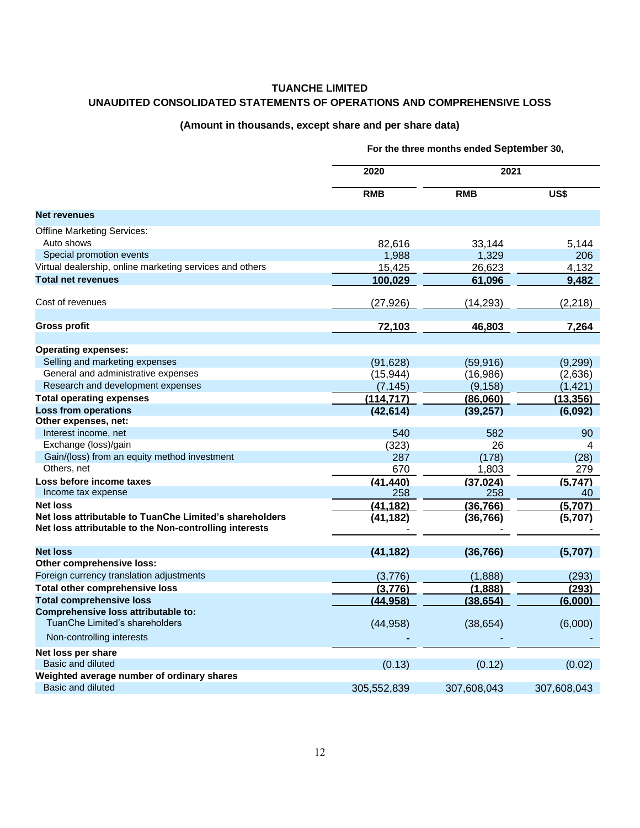# **TUANCHE LIMITED UNAUDITED CONSOLIDATED STATEMENTS OF OPERATIONS AND COMPREHENSIVE LOSS**

#### **(Amount in thousands, except share and per share data)**

|                                                                                                                   | the three months ended ouptompor |             |             |
|-------------------------------------------------------------------------------------------------------------------|----------------------------------|-------------|-------------|
|                                                                                                                   | 2020                             | 2021        |             |
|                                                                                                                   | <b>RMB</b>                       | <b>RMB</b>  | US\$        |
| <b>Net revenues</b>                                                                                               |                                  |             |             |
| <b>Offline Marketing Services:</b>                                                                                |                                  |             |             |
| Auto shows                                                                                                        | 82,616                           | 33,144      | 5,144       |
| Special promotion events                                                                                          | 1,988                            | 1,329       | 206         |
| Virtual dealership, online marketing services and others                                                          | 15,425                           | 26,623      | 4,132       |
| <b>Total net revenues</b>                                                                                         | 100,029                          | 61,096      | 9,482       |
| Cost of revenues                                                                                                  | (27, 926)                        | (14, 293)   | (2, 218)    |
| Gross profit                                                                                                      | 72,103                           | 46,803      | 7,264       |
|                                                                                                                   |                                  |             |             |
| <b>Operating expenses:</b>                                                                                        |                                  |             |             |
| Selling and marketing expenses                                                                                    | (91, 628)                        | (59, 916)   | (9, 299)    |
| General and administrative expenses                                                                               | (15, 944)                        | (16, 986)   | (2,636)     |
| Research and development expenses                                                                                 | (7, 145)                         | (9, 158)    | (1, 421)    |
| <b>Total operating expenses</b>                                                                                   | (114, 717)                       | (86,060)    | (13, 356)   |
| <b>Loss from operations</b>                                                                                       | (42, 614)                        | (39, 257)   | (6,092)     |
| Other expenses, net:                                                                                              |                                  |             |             |
| Interest income, net                                                                                              | 540                              | 582         | 90          |
| Exchange (loss)/gain                                                                                              | (323)                            | 26          | 4           |
| Gain/(loss) from an equity method investment                                                                      | 287                              | (178)       | (28)        |
| Others, net                                                                                                       | 670                              | 1,803       | 279         |
| Loss before income taxes                                                                                          | (41, 440)                        | (37, 024)   | (5,747)     |
| Income tax expense                                                                                                | 258                              | 258         | 40          |
| <b>Net loss</b>                                                                                                   | (41, 182)                        | (36, 766)   | (5,707)     |
| Net loss attributable to TuanChe Limited's shareholders<br>Net loss attributable to the Non-controlling interests | (41, 182)                        | (36, 766)   | (5,707)     |
|                                                                                                                   |                                  |             |             |
| <b>Net loss</b>                                                                                                   | (41, 182)                        | (36, 766)   | (5,707)     |
| Other comprehensive loss:                                                                                         |                                  |             |             |
| Foreign currency translation adjustments                                                                          | (3,776)                          | (1,888)     | (293)       |
| <b>Total other comprehensive loss</b>                                                                             | (3,776)                          | (1,888)     | (293)       |
| <b>Total comprehensive loss</b>                                                                                   | (44, 958)                        | (38, 654)   | (6,000)     |
| Comprehensive loss attributable to:<br>TuanChe Limited's shareholders                                             | (44, 958)                        | (38, 654)   | (6,000)     |
| Non-controlling interests                                                                                         |                                  |             |             |
| Net loss per share                                                                                                |                                  |             |             |
| Basic and diluted                                                                                                 | (0.13)                           | (0.12)      | (0.02)      |
| Weighted average number of ordinary shares                                                                        |                                  |             |             |
| <b>Basic and diluted</b>                                                                                          | 305,552,839                      | 307,608,043 | 307,608,043 |

**For the three months ended September 30,**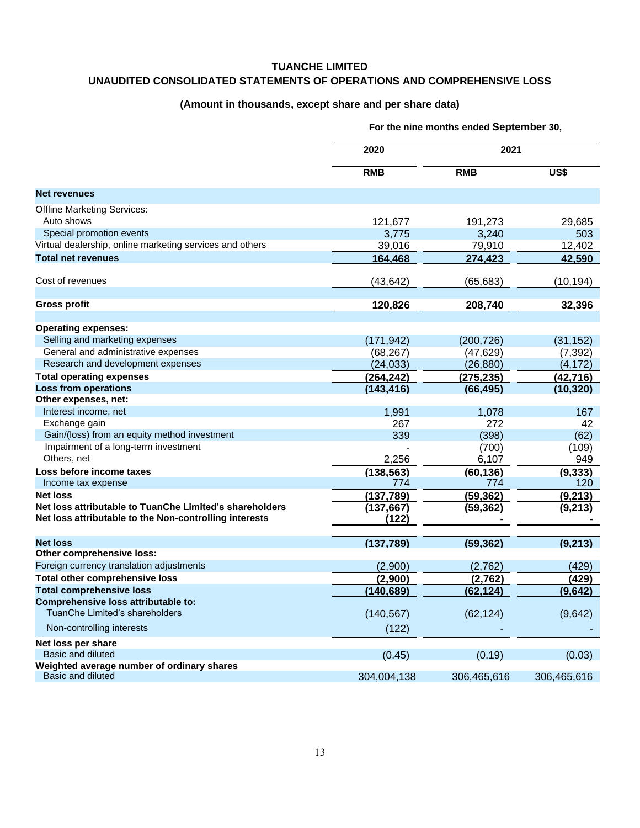#### **TUANCHE LIMITED**

## **UNAUDITED CONSOLIDATED STATEMENTS OF OPERATIONS AND COMPREHENSIVE LOSS**

## **(Amount in thousands, except share and per share data)**

|                                                          | 2020<br><b>RMB</b> | 2021        |             |
|----------------------------------------------------------|--------------------|-------------|-------------|
|                                                          |                    | <b>RMB</b>  | US\$        |
| <b>Net revenues</b>                                      |                    |             |             |
| <b>Offline Marketing Services:</b>                       |                    |             |             |
| Auto shows                                               | 121,677            | 191,273     | 29,685      |
| Special promotion events                                 | 3,775              | 3,240       | 503         |
| Virtual dealership, online marketing services and others | 39,016             | 79,910      | 12,402      |
| <b>Total net revenues</b>                                | 164,468            | 274,423     | 42,590      |
| Cost of revenues                                         | (43, 642)          | (65, 683)   | (10, 194)   |
| <b>Gross profit</b>                                      | 120,826            | 208,740     | 32,396      |
|                                                          |                    |             |             |
| <b>Operating expenses:</b>                               |                    |             |             |
| Selling and marketing expenses                           | (171, 942)         | (200, 726)  | (31, 152)   |
| General and administrative expenses                      | (68, 267)          | (47, 629)   | (7, 392)    |
| Research and development expenses                        | (24, 033)          | (26, 880)   | (4, 172)    |
| <b>Total operating expenses</b>                          | (264, 242)         | (275, 235)  | (42, 716)   |
| <b>Loss from operations</b>                              | (143, 416)         | (66, 495)   | (10, 320)   |
| Other expenses, net:                                     |                    |             |             |
| Interest income, net                                     | 1,991              | 1,078       | 167         |
| Exchange gain                                            | 267                | 272         | 42          |
| Gain/(loss) from an equity method investment             | 339                | (398)       | (62)        |
| Impairment of a long-term investment                     |                    | (700)       | (109)       |
| Others, net                                              | 2,256              | 6,107       | 949         |
| Loss before income taxes                                 | (138, 563)         | (60, 136)   | (9, 333)    |
| Income tax expense                                       | 774                | 774         | 120         |
| <b>Net loss</b>                                          | (137, 789)         | (59, 362)   | (9, 213)    |
| Net loss attributable to TuanChe Limited's shareholders  | (137, 667)         | (59, 362)   | (9,213)     |
| Net loss attributable to the Non-controlling interests   | (122)              |             |             |
| <b>Net loss</b>                                          | (137,789)          | (59, 362)   | (9, 213)    |
| Other comprehensive loss:                                |                    |             |             |
| Foreign currency translation adjustments                 | (2,900)            | (2,762)     | (429)       |
| <b>Total other comprehensive loss</b>                    | (2,900)            | (2,762)     | (429)       |
| <b>Total comprehensive loss</b>                          | (140, 689)         | (62, 124)   | (9,642)     |
| Comprehensive loss attributable to:                      |                    |             |             |
| TuanChe Limited's shareholders                           | (140, 567)         | (62, 124)   | (9,642)     |
| Non-controlling interests                                | (122)              |             |             |
| Net loss per share                                       |                    |             |             |
| <b>Basic and diluted</b>                                 | (0.45)             | (0.19)      | (0.03)      |
| Weighted average number of ordinary shares               |                    |             |             |
| Basic and diluted                                        | 304,004,138        | 306,465,616 | 306,465,616 |

**For the nine months ended September 30,**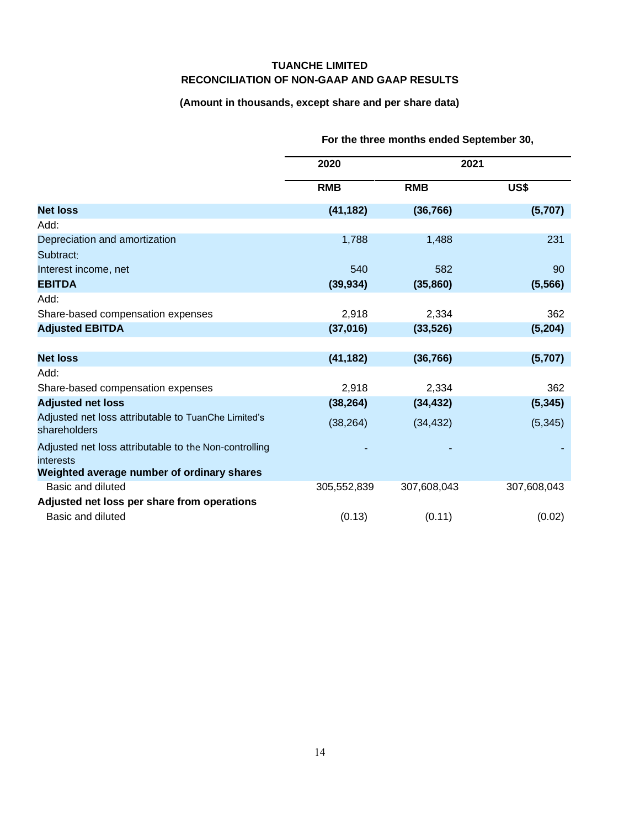## **TUANCHE LIMITED RECONCILIATION OF NON-GAAP AND GAAP RESULTS**

# **(Amount in thousands, except share and per share data)**

|                                                                     | are an edimenting chaca opptening to, |             |             |  |
|---------------------------------------------------------------------|---------------------------------------|-------------|-------------|--|
|                                                                     | 2020                                  |             | 2021        |  |
|                                                                     | <b>RMB</b>                            | <b>RMB</b>  | US\$        |  |
| <b>Net loss</b>                                                     | (41, 182)                             | (36, 766)   | (5,707)     |  |
| Add:                                                                |                                       |             |             |  |
| Depreciation and amortization                                       | 1,788                                 | 1,488       | 231         |  |
| Subtract:                                                           |                                       |             |             |  |
| Interest income, net                                                | 540                                   | 582         | 90          |  |
| <b>EBITDA</b>                                                       | (39, 934)                             | (35, 860)   | (5, 566)    |  |
| Add:                                                                |                                       |             |             |  |
| Share-based compensation expenses                                   | 2,918                                 | 2,334       | 362         |  |
| <b>Adjusted EBITDA</b>                                              | (37,016)                              | (33, 526)   | (5,204)     |  |
|                                                                     |                                       |             |             |  |
| <b>Net loss</b>                                                     | (41, 182)                             | (36, 766)   | (5,707)     |  |
| Add:                                                                |                                       |             |             |  |
| Share-based compensation expenses                                   | 2,918                                 | 2,334       | 362         |  |
| <b>Adjusted net loss</b>                                            | (38, 264)                             | (34, 432)   | (5, 345)    |  |
| Adjusted net loss attributable to TuanChe Limited's<br>shareholders | (38, 264)                             | (34, 432)   | (5, 345)    |  |
| Adjusted net loss attributable to the Non-controlling<br>interests  |                                       |             |             |  |
| Weighted average number of ordinary shares                          |                                       |             |             |  |
| Basic and diluted                                                   | 305,552,839                           | 307,608,043 | 307,608,043 |  |
| Adjusted net loss per share from operations                         |                                       |             |             |  |
| Basic and diluted                                                   | (0.13)                                | (0.11)      | (0.02)      |  |

## **For the three months ended September 30,**